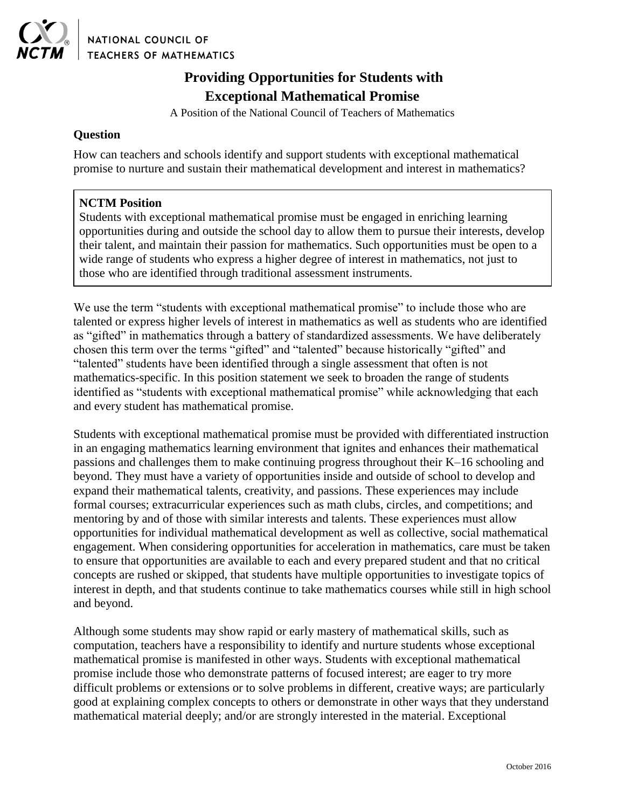

NATIONAL COUNCIL OF **TEACHERS OF MATHEMATICS** 

## **Providing Opportunities for Students with Exceptional Mathematical Promise**

A Position of the National Council of Teachers of Mathematics

## **Question**

How can teachers and schools identify and support students with exceptional mathematical promise to nurture and sustain their mathematical development and interest in mathematics?

## **NCTM Position**

Students with exceptional mathematical promise must be engaged in enriching learning opportunities during and outside the school day to allow them to pursue their interests, develop their talent, and maintain their passion for mathematics. Such opportunities must be open to a wide range of students who express a higher degree of interest in mathematics, not just to those who are identified through traditional assessment instruments.

We use the term "students with exceptional mathematical promise" to include those who are talented or express higher levels of interest in mathematics as well as students who are identified as "gifted" in mathematics through a battery of standardized assessments. We have deliberately chosen this term over the terms "gifted" and "talented" because historically "gifted" and "talented" students have been identified through a single assessment that often is not mathematics-specific. In this position statement we seek to broaden the range of students identified as "students with exceptional mathematical promise" while acknowledging that each and every student has mathematical promise.

Students with exceptional mathematical promise must be provided with differentiated instruction in an engaging mathematics learning environment that ignites and enhances their mathematical passions and challenges them to make continuing progress throughout their K–16 schooling and beyond. They must have a variety of opportunities inside and outside of school to develop and expand their mathematical talents, creativity, and passions. These experiences may include formal courses; extracurricular experiences such as math clubs, circles, and competitions; and mentoring by and of those with similar interests and talents. These experiences must allow opportunities for individual mathematical development as well as collective, social mathematical engagement. When considering opportunities for acceleration in mathematics, care must be taken to ensure that opportunities are available to each and every prepared student and that no critical concepts are rushed or skipped, that students have multiple opportunities to investigate topics of interest in depth, and that students continue to take mathematics courses while still in high school and beyond.

Although some students may show rapid or early mastery of mathematical skills, such as computation, teachers have a responsibility to identify and nurture students whose exceptional mathematical promise is manifested in other ways. Students with exceptional mathematical promise include those who demonstrate patterns of focused interest; are eager to try more difficult problems or extensions or to solve problems in different, creative ways; are particularly good at explaining complex concepts to others or demonstrate in other ways that they understand mathematical material deeply; and/or are strongly interested in the material. Exceptional